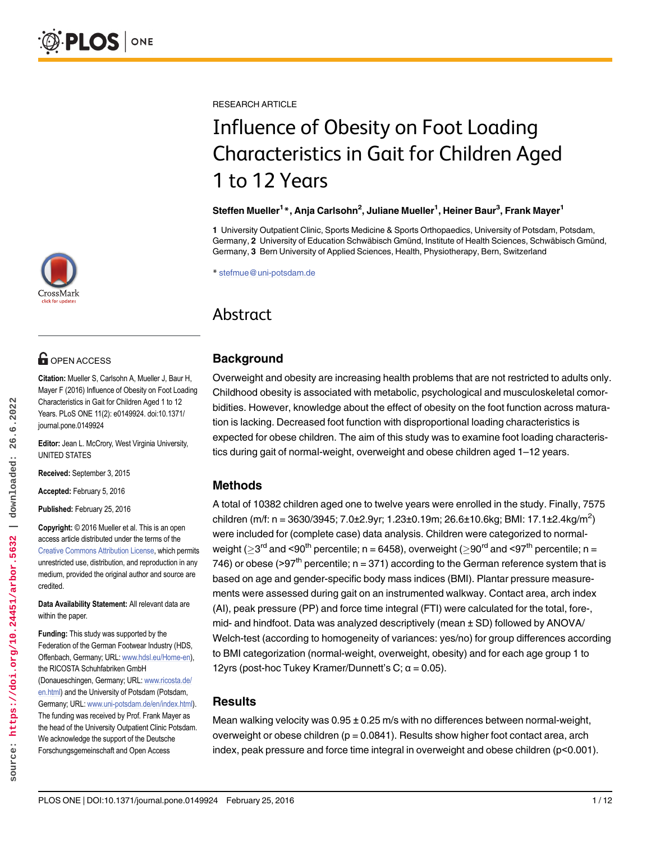

# **O** OPEN ACCESS

Citation: Mueller S, Carlsohn A, Mueller J, Baur H, Mayer F (2016) Influence of Obesity on Foot Loading Characteristics in Gait for Children Aged 1 to 12 Years. PLoS ONE 11(2): e0149924. doi:10.1371/ journal.pone.0149924

Editor: Jean L. McCrory, West Virginia University, UNITED STATES

Received: September 3, 2015

Accepted: February 5, 2016

Published: February 25, 2016

Copyright: © 2016 Mueller et al. This is an open access article distributed under the terms of the [Creative Commons Attribution License,](http://creativecommons.org/licenses/by/4.0/) which permits unrestricted use, distribution, and reproduction in any medium, provided the original author and source are credited.

Data Availability Statement: All relevant data are within the paper.

Funding: This study was supported by the Federation of the German Footwear Industry (HDS, Offenbach, Germany; URL: [www.hdsl.eu/Home-en](http://www.hdsl.eu/Home-en)), the RICOSTA Schuhfabriken GmbH (Donaueschingen, Germany; URL: [www.ricosta.de/](http://www.ricosta.de/en.html) [en.html\)](http://www.ricosta.de/en.html) and the University of Potsdam (Potsdam, Germany; URL: [www.uni-potsdam.de/en/index.html](http://www.uni-potsdam.de/en/index.html)). The funding was received by Prof. Frank Mayer as the head of the University Outpatient Clinic Potsdam. We acknowledge the support of the Deutsche Forschungsgemeinschaft and Open Access

RESEARCH ARTICLE

# Influence of Obesity on Foot Loading Characteristics in Gait for Children Aged 1 to 12 Years

### Steffen Mueller<sup>1</sup>\*, Anja Carlsohn<sup>2</sup>, Juliane Mueller<sup>1</sup>, Heiner Baur<sup>3</sup>, Frank Mayer<sup>1</sup>

1 University Outpatient Clinic, Sports Medicine & Sports Orthopaedics, University of Potsdam, Potsdam, Germany, 2 University of Education Schwäbisch Gmünd, Institute of Health Sciences, Schwäbisch Gmünd, Germany, 3 Bern University of Applied Sciences, Health, Physiotherapy, Bern, Switzerland

\* stefmue@uni-potsdam.de

# Abstract

# **Background**

Overweight and obesity are increasing health problems that are not restricted to adults only. Childhood obesity is associated with metabolic, psychological and musculoskeletal comorbidities. However, knowledge about the effect of obesity on the foot function across maturation is lacking. Decreased foot function with disproportional loading characteristics is expected for obese children. The aim of this study was to examine foot loading characteristics during gait of normal-weight, overweight and obese children aged 1–12 years.

# Methods

A total of 10382 children aged one to twelve years were enrolled in the study. Finally, 7575 children (m/f: n = 3630/3945; 7.0±2.9yr; 1.23±0.19m; 26.6±10.6kg; BMI: 17.1±2.4kg/m<sup>2</sup>) were included for (complete case) data analysis. Children were categorized to normalweight ( $>3^{\text{rd}}$  and <90<sup>th</sup> percentile; n = 6458), overweight ( $>90^{\text{rd}}$  and <97<sup>th</sup> percentile; n = 746) or obese (>97<sup>th</sup> percentile;  $n = 371$ ) according to the German reference system that is based on age and gender-specific body mass indices (BMI). Plantar pressure measurements were assessed during gait on an instrumented walkway. Contact area, arch index (AI), peak pressure (PP) and force time integral (FTI) were calculated for the total, fore-, mid- and hindfoot. Data was analyzed descriptively (mean ± SD) followed by ANOVA/ Welch-test (according to homogeneity of variances: yes/no) for group differences according to BMI categorization (normal-weight, overweight, obesity) and for each age group 1 to 12yrs (post-hoc Tukey Kramer/Dunnett's C;  $\alpha$  = 0.05).

# **Results**

Mean walking velocity was  $0.95 \pm 0.25$  m/s with no differences between normal-weight, overweight or obese children  $(p = 0.0841)$ . Results show higher foot contact area, arch index, peak pressure and force time integral in overweight and obese children (p<0.001).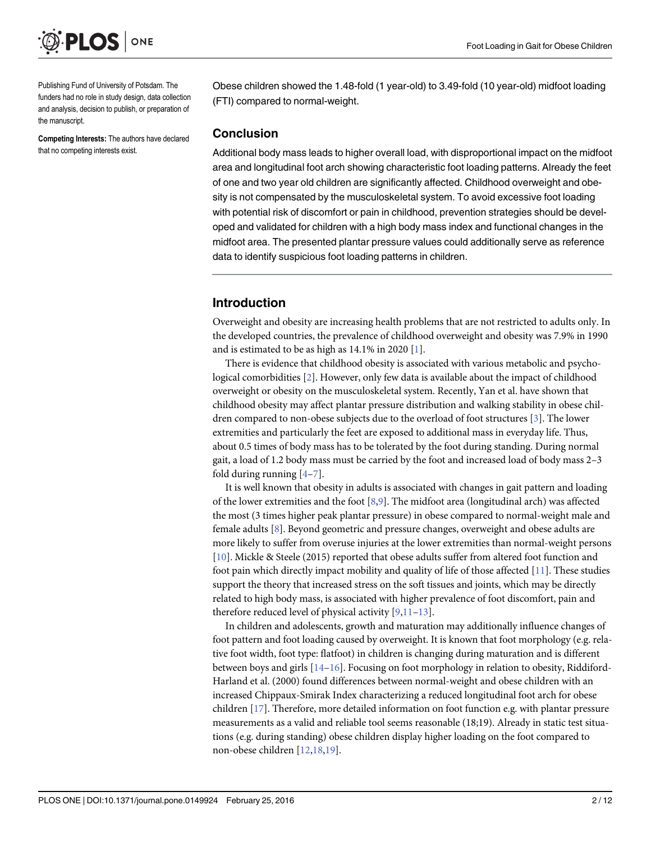

Publishing Fund of University of Potsdam. The funders had no role in study design, data collection and analysis, decision to publish, or preparation of the manuscript.

Competing Interests: The authors have declared that no competing interests exist.

Obese children showed the 1.48-fold (1 year-old) to 3.49-fold (10 year-old) midfoot loading (FTI) compared to normal-weight.

#### Conclusion

Additional body mass leads to higher overall load, with disproportional impact on the midfoot area and longitudinal foot arch showing characteristic foot loading patterns. Already the feet of one and two year old children are significantly affected. Childhood overweight and obesity is not compensated by the musculoskeletal system. To avoid excessive foot loading with potential risk of discomfort or pain in childhood, prevention strategies should be developed and validated for children with a high body mass index and functional changes in the midfoot area. The presented plantar pressure values could additionally serve as reference data to identify suspicious foot loading patterns in children.

# Introduction

Overweight and obesity are increasing health problems that are not restricted to adults only. In the developed countries, the prevalence of childhood overweight and obesity was 7.9% in 1990 and is estimated to be as high as  $14.1\%$  in 2020 [1].

There is evidence that childhood obesity is associated with various metabolic and psychological comorbidities [2]. However, only few data is available about the impact of childhood overweight or obesity on the musculoskeletal system. Recently, Yan et al. have shown that childhood obesity may affect plantar pressure distribution and walking stability in obese children compared to non-obese subjects due to the overload of foot structures [3]. The lower extremities and particularly the feet are exposed to additional mass in everyday life. Thus, about 0.5 times of body mass has to be tolerated by the foot during standing. During normal gait, a load of 1.2 body mass must be carried by the foot and increased load of body mass 2–3 fold during running  $[4-7]$ .

It is well known that obesity in adults is associated with changes in gait pattern and loading of the lower extremities and the foot  $[8,9]$ . The midfoot area (longitudinal arch) was affected the most (3 times higher peak plantar pressure) in obese compared to normal-weight male and female adults [8]. Beyond geometric and pressure changes, overweight and obese adults are more likely to suffer from overuse injuries at the lower extremities than normal-weight persons [10]. Mickle & Steele (2015) reported that obese adults suffer from altered foot function and foot pain which directly impact mobility and quality of life of those affected [11]. These studies support the theory that increased stress on the soft tissues and joints, which may be directly related to high body mass, is associated with higher prevalence of foot discomfort, pain and therefore reduced level of physical activity [9,11–13].

In children and adolescents, growth and maturation may additionally influence changes of foot pattern and foot loading caused by overweight. It is known that foot morphology (e.g. relative foot width, foot type: flatfoot) in children is changing during maturation and is different between boys and girls  $[14-16]$ . Focusing on foot morphology in relation to obesity, Riddiford-Harland et al. (2000) found differences between normal-weight and obese children with an increased Chippaux-Smirak Index characterizing a reduced longitudinal foot arch for obese children [17]. Therefore, more detailed information on foot function e.g. with plantar pressure measurements as a valid and reliable tool seems reasonable (18;19). Already in static test situations (e.g. during standing) obese children display higher loading on the foot compared to non-obese children [12,18,19].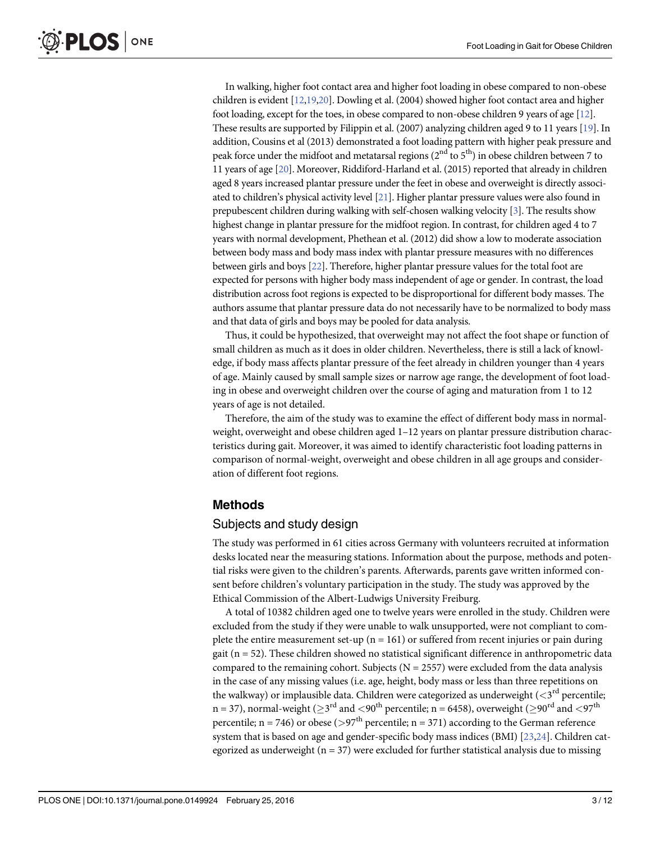In walking, higher foot contact area and higher foot loading in obese compared to non-obese children is evident [12,19,20]. Dowling et al. (2004) showed higher foot contact area and higher foot loading, except for the toes, in obese compared to non-obese children 9 years of age [12]. These results are supported by Filippin et al. (2007) analyzing children aged 9 to 11 years [19]. In addition, Cousins et al (2013) demonstrated a foot loading pattern with higher peak pressure and peak force under the midfoot and metatarsal regions ( $2<sup>nd</sup>$  to  $5<sup>th</sup>$ ) in obese children between 7 to 11 years of age [20]. Moreover, Riddiford-Harland et al. (2015) reported that already in children aged 8 years increased plantar pressure under the feet in obese and overweight is directly associated to children's physical activity level [21]. Higher plantar pressure values were also found in prepubescent children during walking with self-chosen walking velocity [3]. The results show highest change in plantar pressure for the midfoot region. In contrast, for children aged 4 to 7 years with normal development, Phethean et al. (2012) did show a low to moderate association between body mass and body mass index with plantar pressure measures with no differences between girls and boys [22]. Therefore, higher plantar pressure values for the total foot are expected for persons with higher body mass independent of age or gender. In contrast, the load distribution across foot regions is expected to be disproportional for different body masses. The authors assume that plantar pressure data do not necessarily have to be normalized to body mass and that data of girls and boys may be pooled for data analysis.

Thus, it could be hypothesized, that overweight may not affect the foot shape or function of small children as much as it does in older children. Nevertheless, there is still a lack of knowledge, if body mass affects plantar pressure of the feet already in children younger than 4 years of age. Mainly caused by small sample sizes or narrow age range, the development of foot loading in obese and overweight children over the course of aging and maturation from 1 to 12 years of age is not detailed.

Therefore, the aim of the study was to examine the effect of different body mass in normalweight, overweight and obese children aged 1–12 years on plantar pressure distribution characteristics during gait. Moreover, it was aimed to identify characteristic foot loading patterns in comparison of normal-weight, overweight and obese children in all age groups and consideration of different foot regions.

# Methods

#### Subjects and study design

The study was performed in 61 cities across Germany with volunteers recruited at information desks located near the measuring stations. Information about the purpose, methods and potential risks were given to the children's parents. Afterwards, parents gave written informed consent before children's voluntary participation in the study. The study was approved by the Ethical Commission of the Albert-Ludwigs University Freiburg.

A total of 10382 children aged one to twelve years were enrolled in the study. Children were excluded from the study if they were unable to walk unsupported, were not compliant to complete the entire measurement set-up ( $n = 161$ ) or suffered from recent injuries or pain during gait ( $n = 52$ ). These children showed no statistical significant difference in anthropometric data compared to the remaining cohort. Subjects ( $N = 2557$ ) were excluded from the data analysis in the case of any missing values (i.e. age, height, body mass or less than three repetitions on the walkway) or implausible data. Children were categorized as underweight ( $\lt 3^{\text{rd}}$  percentile;  $n = 37$ ), normal-weight ( $> 3<sup>rd</sup>$  and  $< 90<sup>th</sup>$  percentile; n = 6458), overweight ( $> 90<sup>rd</sup>$  and  $< 97<sup>th</sup>$ percentile;  $n = 746$ ) or obese (>97<sup>th</sup> percentile;  $n = 371$ ) according to the German reference system that is based on age and gender-specific body mass indices (BMI) [23,24]. Children categorized as underweight ( $n = 37$ ) were excluded for further statistical analysis due to missing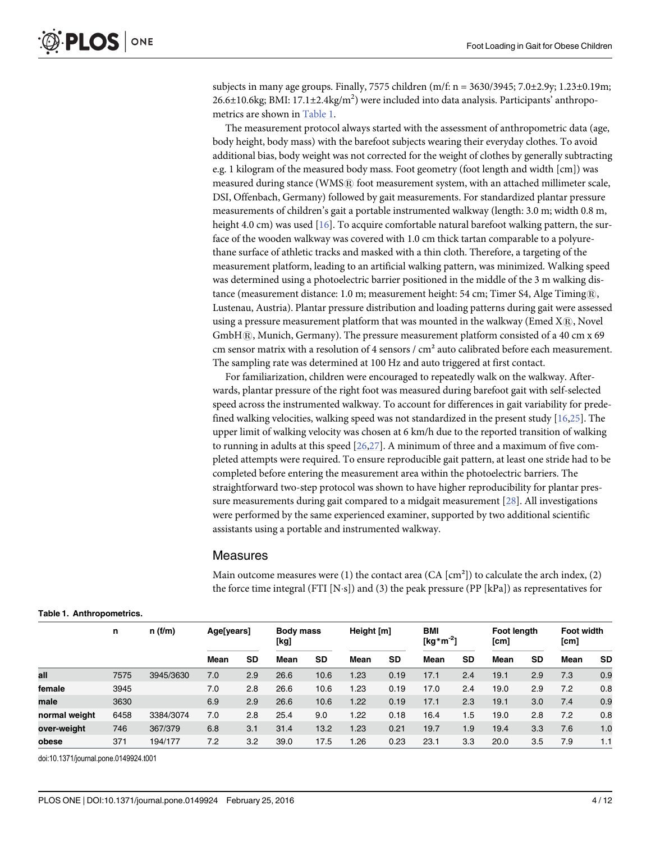subjects in many age groups. Finally, 7575 children (m/f:  $n = 3630/3945$ ; 7.0±2.9y; 1.23±0.19m; 26.6 $\pm$ 10.6kg; BMI: 17.1 $\pm$ 2.4kg/m<sup>2</sup>) were included into data analysis. Participants' anthropometrics are shown in Table 1.

The measurement protocol always started with the assessment of anthropometric data (age, body height, body mass) with the barefoot subjects wearing their everyday clothes. To avoid additional bias, body weight was not corrected for the weight of clothes by generally subtracting e.g. 1 kilogram of the measured body mass. Foot geometry (foot length and width [cm]) was measured during stance (WMSR) foot measurement system, with an attached millimeter scale, DSI, Offenbach, Germany) followed by gait measurements. For standardized plantar pressure measurements of children's gait a portable instrumented walkway (length: 3.0 m; width 0.8 m, height 4.0 cm) was used [16]. To acquire comfortable natural barefoot walking pattern, the surface of the wooden walkway was covered with 1.0 cm thick tartan comparable to a polyurethane surface of athletic tracks and masked with a thin cloth. Therefore, a targeting of the measurement platform, leading to an artificial walking pattern, was minimized. Walking speed was determined using a photoelectric barrier positioned in the middle of the 3 m walking distance (measurement distance: 1.0 m; measurement height: 54 cm; Timer S4, Alge Timing $\mathbb{R}$ , Lustenau, Austria). Plantar pressure distribution and loading patterns during gait were assessed using a pressure measurement platform that was mounted in the walkway (Emed  $X(\mathbb{R})$ , Novel GmbH $\Re$ , Munich, Germany). The pressure measurement platform consisted of a 40 cm x 69 cm sensor matrix with a resolution of 4 sensors / cm² auto calibrated before each measurement. The sampling rate was determined at 100 Hz and auto triggered at first contact.

For familiarization, children were encouraged to repeatedly walk on the walkway. Afterwards, plantar pressure of the right foot was measured during barefoot gait with self-selected speed across the instrumented walkway. To account for differences in gait variability for predefined walking velocities, walking speed was not standardized in the present study  $[16,25]$ . The upper limit of walking velocity was chosen at 6 km/h due to the reported transition of walking to running in adults at this speed [26,27]. A minimum of three and a maximum of five completed attempts were required. To ensure reproducible gait pattern, at least one stride had to be completed before entering the measurement area within the photoelectric barriers. The straightforward two-step protocol was shown to have higher reproducibility for plantar pressure measurements during gait compared to a midgait measurement [28]. All investigations were performed by the same experienced examiner, supported by two additional scientific assistants using a portable and instrumented walkway.

#### Measures

Main outcome measures were (1) the contact area (CA  $\text{[cm]}$ ) to calculate the arch index, (2) the force time integral (FTI [N·s]) and (3) the peak pressure (PP [kPa]) as representatives for

|               | n    |           | n(f/m) | Age[years] |      | <b>Body mass</b><br>[kg] |      | Height [m] |      | <b>BMI</b><br>[kg*m <sup>-2</sup> ] |      | <b>Foot lenath</b><br>[cm] |      | <b>Foot width</b><br>[cm] |  |
|---------------|------|-----------|--------|------------|------|--------------------------|------|------------|------|-------------------------------------|------|----------------------------|------|---------------------------|--|
|               |      |           | Mean   | <b>SD</b>  | Mean | <b>SD</b>                | Mean | <b>SD</b>  | Mean | SD                                  | Mean | <b>SD</b>                  | Mean | <b>SD</b>                 |  |
| all           | 7575 | 3945/3630 | 7.0    | 2.9        | 26.6 | 10.6                     | 1.23 | 0.19       | 17.1 | 2.4                                 | 19.1 | 2.9                        | 7.3  | 0.9                       |  |
| female        | 3945 |           | 7.0    | 2.8        | 26.6 | 10.6                     | 1.23 | 0.19       | 17.0 | 2.4                                 | 19.0 | 2.9                        | 7.2  | 0.8                       |  |
| male          | 3630 |           | 6.9    | 2.9        | 26.6 | 10.6                     | 1.22 | 0.19       | 17.1 | 2.3                                 | 19.1 | 3.0                        | 7.4  | 0.9                       |  |
| normal weight | 6458 | 3384/3074 | 7.0    | 2.8        | 25.4 | 9.0                      | 1.22 | 0.18       | 16.4 | .5                                  | 19.0 | 2.8                        | 7.2  | 0.8                       |  |
| over-weight   | 746  | 367/379   | 6.8    | 3.1        | 31.4 | 13.2                     | 1.23 | 0.21       | 19.7 | 1.9                                 | 19.4 | 3.3                        | 7.6  | 1.0                       |  |
| obese         | 371  | 194/177   | 7.2    | 3.2        | 39.0 | 17.5                     | 1.26 | 0.23       | 23.1 | 3.3                                 | 20.0 | 3.5                        | 7.9  | 1.1                       |  |

Table 1. Anthropometrics.

doi:10.1371/journal.pone.0149924.t001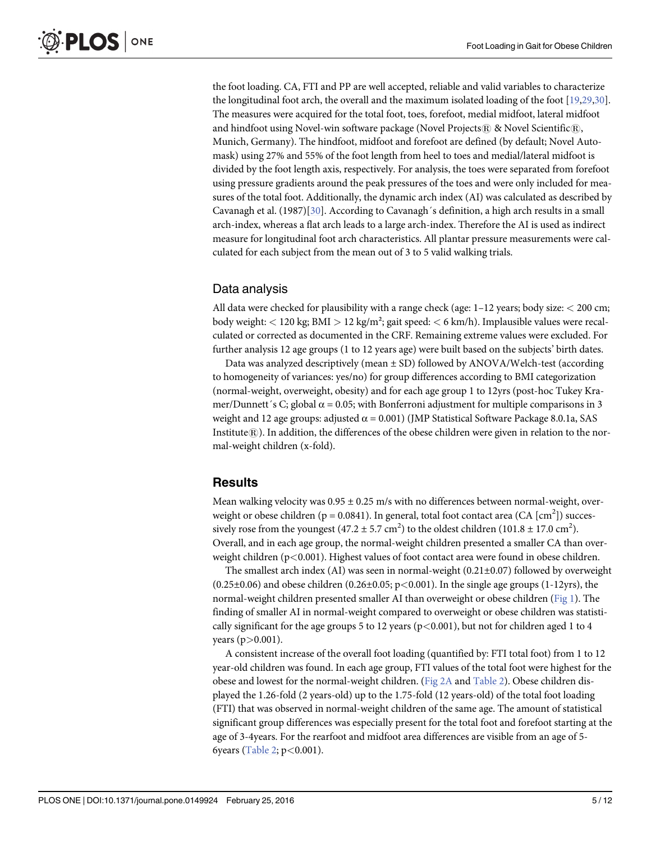the foot loading. CA, FTI and PP are well accepted, reliable and valid variables to characterize the longitudinal foot arch, the overall and the maximum isolated loading of the foot [19,29,30]. The measures were acquired for the total foot, toes, forefoot, medial midfoot, lateral midfoot and hindfoot using Novel-win software package (Novel Projects $@$  & Novel Scientific $@$ , Munich, Germany). The hindfoot, midfoot and forefoot are defined (by default; Novel Automask) using 27% and 55% of the foot length from heel to toes and medial/lateral midfoot is divided by the foot length axis, respectively. For analysis, the toes were separated from forefoot using pressure gradients around the peak pressures of the toes and were only included for measures of the total foot. Additionally, the dynamic arch index (AI) was calculated as described by Cavanagh et al. (1987)[30]. According to Cavanagh´s definition, a high arch results in a small arch-index, whereas a flat arch leads to a large arch-index. Therefore the AI is used as indirect measure for longitudinal foot arch characteristics. All plantar pressure measurements were calculated for each subject from the mean out of 3 to 5 valid walking trials.

#### Data analysis

All data were checked for plausibility with a range check (age:  $1-12$  years; body size:  $<$  200 cm; body weight: < 120 kg; BMI > 12 kg/m²; gait speed: < 6 km/h). Implausible values were recalculated or corrected as documented in the CRF. Remaining extreme values were excluded. For further analysis 12 age groups (1 to 12 years age) were built based on the subjects' birth dates.

Data was analyzed descriptively (mean ± SD) followed by ANOVA/Welch-test (according to homogeneity of variances: yes/no) for group differences according to BMI categorization (normal-weight, overweight, obesity) and for each age group 1 to 12yrs (post-hoc Tukey Kramer/Dunnett´s C; global  $\alpha$  = 0.05; with Bonferroni adjustment for multiple comparisons in 3 weight and 12 age groups: adjusted  $\alpha = 0.001$  (JMP Statistical Software Package 8.0.1a, SAS Institute $(\mathbb{R})$ . In addition, the differences of the obese children were given in relation to the normal-weight children (x-fold).

#### Results

Mean walking velocity was  $0.95 \pm 0.25$  m/s with no differences between normal-weight, overweight or obese children ( $p = 0.0841$ ). In general, total foot contact area (CA [cm<sup>2</sup>]) successively rose from the youngest  $(47.2 \pm 5.7 \text{ cm}^2)$  to the oldest children  $(101.8 \pm 17.0 \text{ cm}^2)$ . Overall, and in each age group, the normal-weight children presented a smaller CA than overweight children (p<0.001). Highest values of foot contact area were found in obese children.

The smallest arch index (AI) was seen in normal-weight (0.21±0.07) followed by overweight  $(0.25\pm0.06)$  and obese children  $(0.26\pm0.05; p<0.001)$ . In the single age groups  $(1-12\gamma rs)$ , the normal-weight children presented smaller AI than overweight or obese children (Fig 1). The finding of smaller AI in normal-weight compared to overweight or obese children was statistically significant for the age groups 5 to 12 years ( $p < 0.001$ ), but not for children aged 1 to 4 years  $(p>0.001)$ .

A consistent increase of the overall foot loading (quantified by: FTI total foot) from 1 to 12 year-old children was found. In each age group, FTI values of the total foot were highest for the obese and lowest for the normal-weight children. (Fig 2A and Table 2). Obese children displayed the 1.26-fold (2 years-old) up to the 1.75-fold (12 years-old) of the total foot loading (FTI) that was observed in normal-weight children of the same age. The amount of statistical significant group differences was especially present for the total foot and forefoot starting at the age of 3-4years. For the rearfoot and midfoot area differences are visible from an age of 5- 6years (Table 2;  $p < 0.001$ ).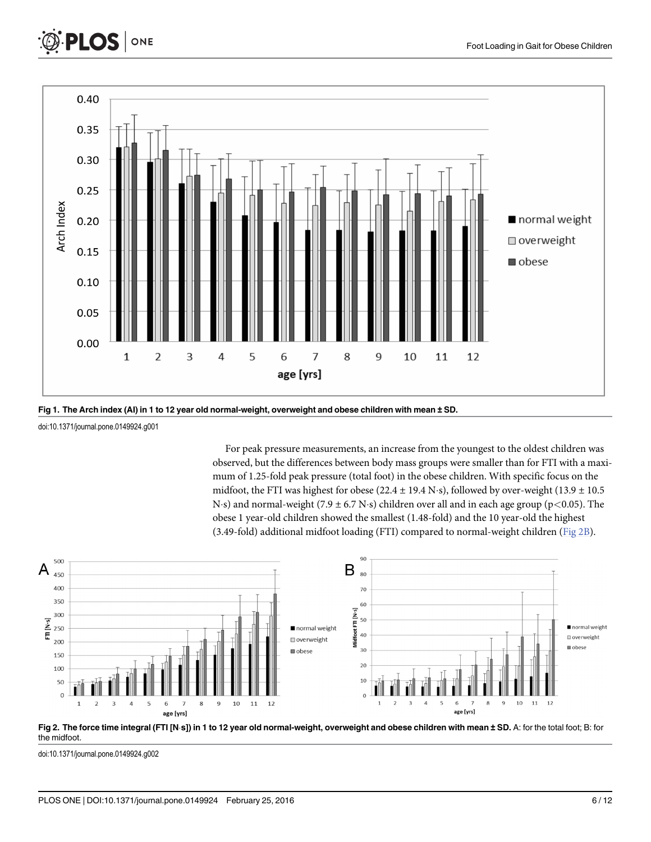





doi:10.1371/journal.pone.0149924.g001

For peak pressure measurements, an increase from the youngest to the oldest children was observed, but the differences between body mass groups were smaller than for FTI with a maximum of 1.25-fold peak pressure (total foot) in the obese children. With specific focus on the midfoot, the FTI was highest for obese (22.4  $\pm$  19.4 N·s), followed by over-weight (13.9  $\pm$  10.5 N·s) and normal-weight (7.9  $\pm$  6.7 N·s) children over all and in each age group (p $<$ 0.05). The obese 1 year-old children showed the smallest (1.48-fold) and the 10 year-old the highest (3.49-fold) additional midfoot loading (FTI) compared to normal-weight children (Fig 2B).





doi:10.1371/journal.pone.0149924.g002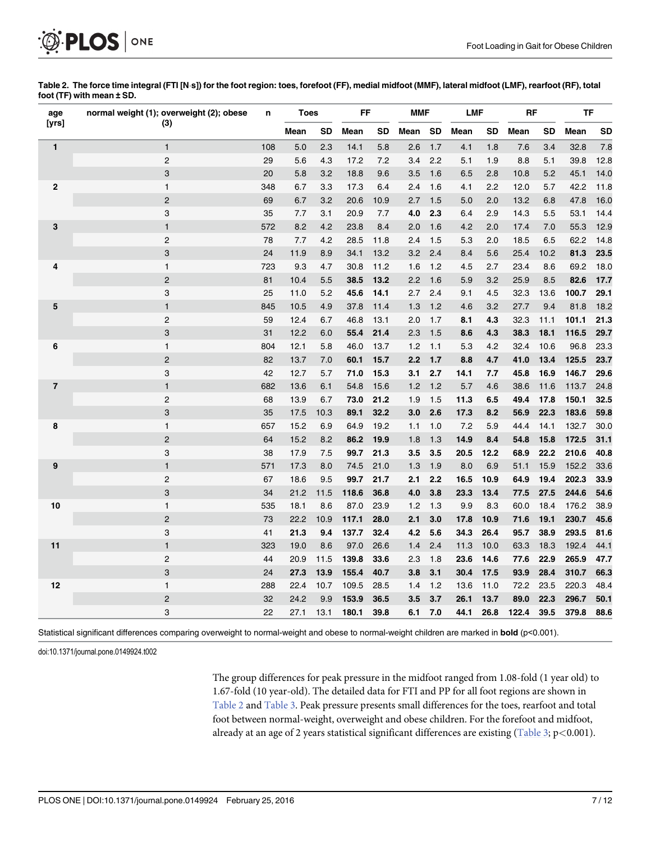

|                           |  | Table 2. The force time integral (FTI [N·s]) for the foot region: toes, forefoot (FF), medial midfoot (MMF), lateral midfoot (LMF), rearfoot (RF), total |  |
|---------------------------|--|----------------------------------------------------------------------------------------------------------------------------------------------------------|--|
| foot (TF) with mean ± SD. |  |                                                                                                                                                          |  |

| age            | normal weight (1); overweight (2); obese | n   | <b>Toes</b> |           | FF    |           | <b>MMF</b> |           | <b>LMF</b> |      | <b>RF</b> |           | TF    |           |
|----------------|------------------------------------------|-----|-------------|-----------|-------|-----------|------------|-----------|------------|------|-----------|-----------|-------|-----------|
| [yrs]          | (3)                                      |     | Mean        | <b>SD</b> | Mean  | <b>SD</b> | Mean       | <b>SD</b> | Mean       | SD   | Mean      | <b>SD</b> | Mean  | <b>SD</b> |
| $\mathbf{1}$   | $\mathbf{1}$                             | 108 | 5.0         | 2.3       | 14.1  | 5.8       | 2.6        | 1.7       | 4.1        | 1.8  | 7.6       | 3.4       | 32.8  | 7.8       |
|                | $\overline{2}$                           | 29  | 5.6         | 4.3       | 17.2  | 7.2       | 3.4        | 2.2       | 5.1        | 1.9  | 8.8       | 5.1       | 39.8  | 12.8      |
|                | 3                                        | 20  | 5.8         | 3.2       | 18.8  | 9.6       | 3.5        | 1.6       | 6.5        | 2.8  | 10.8      | 5.2       | 45.1  | 14.0      |
| $\mathbf{2}$   | $\mathbf{1}$                             | 348 | 6.7         | 3.3       | 17.3  | 6.4       | 2.4        | 1.6       | 4.1        | 2.2  | 12.0      | 5.7       | 42.2  | 11.8      |
|                | $\overline{2}$                           | 69  | 6.7         | 3.2       | 20.6  | 10.9      | 2.7        | 1.5       | 5.0        | 2.0  | 13.2      | 6.8       | 47.8  | 16.0      |
|                | 3                                        | 35  | 7.7         | 3.1       | 20.9  | 7.7       | 4.0        | 2.3       | 6.4        | 2.9  | 14.3      | 5.5       | 53.1  | 14.4      |
| 3              | $\mathbf{1}$                             | 572 | 8.2         | 4.2       | 23.8  | 8.4       | 2.0        | 1.6       | 4.2        | 2.0  | 17.4      | 7.0       | 55.3  | 12.9      |
|                | $\overline{2}$                           | 78  | 7.7         | 4.2       | 28.5  | 11.8      | 2.4        | 1.5       | 5.3        | 2.0  | 18.5      | 6.5       | 62.2  | 14.8      |
|                | 3                                        | 24  | 11.9        | 8.9       | 34.1  | 13.2      | 3.2        | 2.4       | 8.4        | 5.6  | 25.4      | 10.2      | 81.3  | 23.5      |
| 4              | $\mathbf{1}$                             | 723 | 9.3         | 4.7       | 30.8  | 11.2      | 1.6        | 1.2       | 4.5        | 2.7  | 23.4      | 8.6       | 69.2  | 18.0      |
|                | $\overline{2}$                           | 81  | 10.4        | 5.5       | 38.5  | 13.2      | 2.2        | 1.6       | 5.9        | 3.2  | 25.9      | 8.5       | 82.6  | 17.7      |
|                | 3                                        | 25  | 11.0        | 5.2       | 45.6  | 14.1      | 2.7        | 2.4       | 9.1        | 4.5  | 32.3      | 13.6      | 100.7 | 29.1      |
| 5              | $\mathbf{1}$                             | 845 | 10.5        | 4.9       | 37.8  | 11.4      | 1.3        | 1.2       | 4.6        | 3.2  | 27.7      | 9.4       | 81.8  | 18.2      |
|                | $\overline{2}$                           | 59  | 12.4        | 6.7       | 46.8  | 13.1      | 2.0        | 1.7       | 8.1        | 4.3  | 32.3      | 11.1      | 101.1 | 21.3      |
|                | 3                                        | 31  | 12.2        | 6.0       | 55.4  | 21.4      | 2.3        | 1.5       | 8.6        | 4.3  | 38.3      | 18.1      | 116.5 | 29.7      |
| 6              | $\mathbf{1}$                             | 804 | 12.1        | 5.8       | 46.0  | 13.7      | 1.2        | 1.1       | 5.3        | 4.2  | 32.4      | 10.6      | 96.8  | 23.3      |
|                | $\overline{2}$                           | 82  | 13.7        | 7.0       | 60.1  | 15.7      | 2.2        | 1.7       | 8.8        | 4.7  | 41.0      | 13.4      | 125.5 | 23.7      |
|                | 3                                        | 42  | 12.7        | 5.7       | 71.0  | 15.3      | 3.1        | 2.7       | 14.1       | 7.7  | 45.8      | 16.9      | 146.7 | 29.6      |
| $\overline{7}$ | $\mathbf{1}$                             | 682 | 13.6        | 6.1       | 54.8  | 15.6      | 1.2        | 1.2       | 5.7        | 4.6  | 38.6      | 11.6      | 113.7 | 24.8      |
|                | $\overline{c}$                           | 68  | 13.9        | 6.7       | 73.0  | 21.2      | 1.9        | 1.5       | 11.3       | 6.5  | 49.4      | 17.8      | 150.1 | 32.5      |
|                | 3                                        | 35  | 17.5        | 10.3      | 89.1  | 32.2      | 3.0        | 2.6       | 17.3       | 8.2  | 56.9      | 22.3      | 183.6 | 59.8      |
| 8              | $\mathbf{1}$                             | 657 | 15.2        | 6.9       | 64.9  | 19.2      | 1.1        | 1.0       | 7.2        | 5.9  | 44.4      | 14.1      | 132.7 | 30.0      |
|                | $\overline{2}$                           | 64  | 15.2        | 8.2       | 86.2  | 19.9      | 1.8        | 1.3       | 14.9       | 8.4  | 54.8      | 15.8      | 172.5 | 31.1      |
|                | 3                                        | 38  | 17.9        | 7.5       | 99.7  | 21.3      | 3.5        | 3.5       | 20.5       | 12.2 | 68.9      | 22.2      | 210.6 | 40.8      |
| 9              | $\mathbf{1}$                             | 571 | 17.3        | 8.0       | 74.5  | 21.0      | 1.3        | 1.9       | 8.0        | 6.9  | 51.1      | 15.9      | 152.2 | 33.6      |
|                | $\sqrt{2}$                               | 67  | 18.6        | 9.5       | 99.7  | 21.7      | 2.1        | 2.2       | 16.5       | 10.9 | 64.9      | 19.4      | 202.3 | 33.9      |
|                | 3                                        | 34  | 21.2        | 11.5      | 118.6 | 36.8      | 4.0        | 3.8       | 23.3       | 13.4 | 77.5      | 27.5      | 244.6 | 54.6      |
| 10             | $\mathbf{1}$                             | 535 | 18.1        | 8.6       | 87.0  | 23.9      | 1.2        | 1.3       | 9.9        | 8.3  | 60.0      | 18.4      | 176.2 | 38.9      |
|                | $\overline{c}$                           | 73  | 22.2        | 10.9      | 117.1 | 28.0      | 2.1        | 3.0       | 17.8       | 10.9 | 71.6      | 19.1      | 230.7 | 45.6      |
|                | 3                                        | 41  | 21.3        | 9.4       | 137.7 | 32.4      | 4.2        | 5.6       | 34.3       | 26.4 | 95.7      | 38.9      | 293.5 | 81.6      |
| 11             | $\mathbf{1}$                             | 323 | 19.0        | 8.6       | 97.0  | 26.6      | 1.4        | 2.4       | 11.3       | 10.0 | 63.3      | 18.3      | 192.4 | 44.1      |
|                | $\overline{2}$                           | 44  | 20.9        | 11.5      | 139.8 | 33.6      | 2.3        | 1.8       | 23.6       | 14.6 | 77.6      | 22.9      | 265.9 | 47.7      |
|                | 3                                        | 24  | 27.3        | 13.9      | 155.4 | 40.7      | 3.8        | 3.1       | 30.4       | 17.5 | 93.9      | 28.4      | 310.7 | 66.3      |
| 12             | $\mathbf{1}$                             | 288 | 22.4        | 10.7      | 109.5 | 28.5      | 1.4        | 1.2       | 13.6       | 11.0 | 72.2      | 23.5      | 220.3 | 48.4      |
|                | $\overline{2}$                           | 32  | 24.2        | 9.9       | 153.9 | 36.5      | 3.5        | 3.7       | 26.1       | 13.7 | 89.0      | 22.3      | 296.7 | 50.1      |
|                | 3                                        | 22  | 27.1        | 13.1      | 180.1 | 39.8      | 6.1        | 7.0       | 44.1       | 26.8 | 122.4     | 39.5      | 379.8 | 88.6      |

Statistical significant differences comparing overweight to normal-weight and obese to normal-weight children are marked in **bold** (p<0.001).

doi:10.1371/journal.pone.0149924.t002

The group differences for peak pressure in the midfoot ranged from 1.08-fold (1 year old) to 1.67-fold (10 year-old). The detailed data for FTI and PP for all foot regions are shown in Table 2 and Table 3. Peak pressure presents small differences for the toes, rearfoot and total foot between normal-weight, overweight and obese children. For the forefoot and midfoot, already at an age of 2 years statistical significant differences are existing  $(Table 3; p<0.001)$ .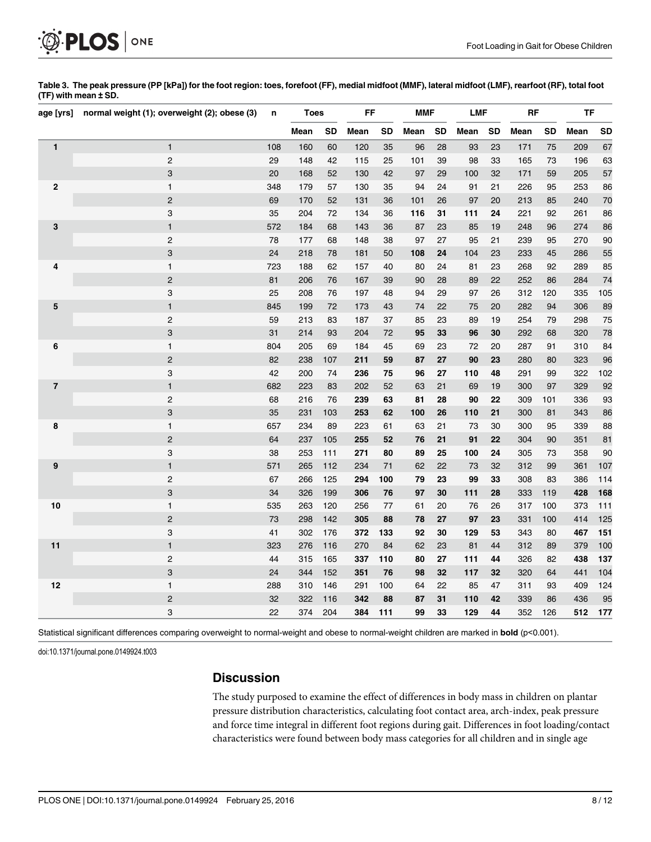

| Table 3. The peak pressure (PP [kPa]) for the foot region: toes, forefoot (FF), medial midfoot (MMF), lateral midfoot (LMF), rearfoot (RF), total foot |  |  |
|--------------------------------------------------------------------------------------------------------------------------------------------------------|--|--|
| (TF) with mean ± SD.                                                                                                                                   |  |  |

| age [yrs]               | normal weight (1); overweight (2); obese (3) | n      | <b>Toes</b> |           | FF   |           | <b>MMF</b> |           | <b>LMF</b> |           | <b>RF</b> |           | TF   |           |
|-------------------------|----------------------------------------------|--------|-------------|-----------|------|-----------|------------|-----------|------------|-----------|-----------|-----------|------|-----------|
|                         |                                              |        | Mean        | <b>SD</b> | Mean | <b>SD</b> | Mean       | <b>SD</b> | Mean       | <b>SD</b> | Mean      | <b>SD</b> | Mean | <b>SD</b> |
| $\mathbf{1}$            | $\mathbf{1}$                                 | 108    | 160         | 60        | 120  | 35        | 96         | 28        | 93         | 23        | 171       | 75        | 209  | 67        |
|                         | $\overline{c}$                               | 29     | 148         | 42        | 115  | 25        | 101        | 39        | 98         | 33        | 165       | 73        | 196  | 63        |
|                         | 3                                            | 20     | 168         | 52        | 130  | 42        | 97         | 29        | 100        | 32        | 171       | 59        | 205  | 57        |
| $\mathbf 2$             | $\mathbf{1}$                                 | 348    | 179         | 57        | 130  | 35        | 94         | 24        | 91         | 21        | 226       | 95        | 253  | 86        |
|                         | $\overline{2}$                               | 69     | 170         | 52        | 131  | 36        | 101        | 26        | 97         | 20        | 213       | 85        | 240  | 70        |
|                         | 3                                            | 35     | 204         | 72        | 134  | 36        | 116        | 31        | 111        | 24        | 221       | 92        | 261  | 86        |
| 3                       | $\mathbf{1}$                                 | 572    | 184         | 68        | 143  | 36        | 87         | 23        | 85         | 19        | 248       | 96        | 274  | 86        |
|                         | $\overline{c}$                               | 78     | 177         | 68        | 148  | 38        | 97         | 27        | 95         | 21        | 239       | 95        | 270  | 90        |
|                         | 3                                            | 24     | 218         | 78        | 181  | 50        | 108        | 24        | 104        | 23        | 233       | 45        | 286  | 55        |
| 4                       | $\mathbf{1}$                                 | 723    | 188         | 62        | 157  | 40        | 80         | 24        | 81         | 23        | 268       | 92        | 289  | 85        |
|                         | $\overline{2}$                               | 81     | 206         | 76        | 167  | 39        | 90         | 28        | 89         | 22        | 252       | 86        | 284  | 74        |
|                         | 3                                            | 25     | 208         | 76        | 197  | 48        | 94         | 29        | 97         | 26        | 312       | 120       | 335  | 105       |
| 5                       | $\mathbf{1}$                                 | 845    | 199         | 72        | 173  | 43        | 74         | 22        | 75         | 20        | 282       | 94        | 306  | 89        |
|                         | $\overline{c}$                               | 59     | 213         | 83        | 187  | 37        | 85         | 23        | 89         | 19        | 254       | 79        | 298  | 75        |
|                         | 3                                            | 31     | 214         | 93        | 204  | 72        | 95         | 33        | 96         | 30        | 292       | 68        | 320  | 78        |
| 6                       | $\mathbf{1}$                                 | 804    | 205         | 69        | 184  | 45        | 69         | 23        | 72         | 20        | 287       | 91        | 310  | 84        |
|                         | $\overline{c}$                               | 82     | 238         | 107       | 211  | 59        | 87         | 27        | 90         | 23        | 280       | 80        | 323  | 96        |
|                         | 3                                            | 42     | 200         | 74        | 236  | 75        | 96         | 27        | 110        | 48        | 291       | 99        | 322  | 102       |
| $\overline{\mathbf{7}}$ | $\mathbf{1}$                                 | 682    | 223         | 83        | 202  | 52        | 63         | 21        | 69         | 19        | 300       | 97        | 329  | 92        |
|                         | $\overline{c}$                               | 68     | 216         | 76        | 239  | 63        | 81         | 28        | 90         | 22        | 309       | 101       | 336  | 93        |
|                         | 3                                            | 35     | 231         | 103       | 253  | 62        | 100        | 26        | 110        | 21        | 300       | 81        | 343  | 86        |
| 8                       | $\mathbf{1}$                                 | 657    | 234         | 89        | 223  | 61        | 63         | 21        | 73         | 30        | 300       | 95        | 339  | 88        |
|                         | $\overline{2}$                               | 64     | 237         | 105       | 255  | 52        | 76         | 21        | 91         | 22        | 304       | 90        | 351  | 81        |
|                         | 3                                            | 38     | 253         | 111       | 271  | 80        | 89         | 25        | 100        | 24        | 305       | 73        | 358  | 90        |
| 9                       | $\mathbf{1}$                                 | 571    | 265         | 112       | 234  | 71        | 62         | 22        | 73         | 32        | 312       | 99        | 361  | 107       |
|                         | $\overline{c}$                               | 67     | 266         | 125       | 294  | 100       | 79         | 23        | 99         | 33        | 308       | 83        | 386  | 114       |
|                         | 3                                            | 34     | 326         | 199       | 306  | 76        | 97         | 30        | 111        | 28        | 333       | 119       | 428  | 168       |
| 10                      | $\mathbf{1}$                                 | 535    | 263         | 120       | 256  | 77        | 61         | 20        | 76         | 26        | 317       | 100       | 373  | 111       |
|                         | $\overline{2}$                               | $73\,$ | 298         | 142       | 305  | 88        | 78         | 27        | 97         | 23        | 331       | 100       | 414  | 125       |
|                         | 3                                            | 41     | 302         | 176       | 372  | 133       | 92         | 30        | 129        | 53        | 343       | 80        | 467  | 151       |
| 11                      | $\mathbf{1}$                                 | 323    | 276         | 116       | 270  | 84        | 62         | 23        | 81         | 44        | 312       | 89        | 379  | 100       |
|                         | $\overline{c}$                               | 44     | 315         | 165       | 337  | 110       | 80         | 27        | 111        | 44        | 326       | 82        | 438  | 137       |
|                         | 3                                            | 24     | 344         | 152       | 351  | 76        | 98         | 32        | 117        | 32        | 320       | 64        | 441  | 104       |
| 12                      | $\mathbf{1}$                                 | 288    | 310         | 146       | 291  | 100       | 64         | 22        | 85         | 47        | 311       | 93        | 409  | 124       |
|                         | $\overline{c}$                               | 32     | 322         | 116       | 342  | 88        | 87         | 31        | 110        | 42        | 339       | 86        | 436  | 95        |
|                         | 3                                            | 22     | 374         | 204       | 384  | 111       | 99         | 33        | 129        | 44        | 352       | 126       | 512  | 177       |

Statistical significant differences comparing overweight to normal-weight and obese to normal-weight children are marked in **bold** (p<0.001).

doi:10.1371/journal.pone.0149924.t003

# **Discussion**

The study purposed to examine the effect of differences in body mass in children on plantar pressure distribution characteristics, calculating foot contact area, arch-index, peak pressure and force time integral in different foot regions during gait. Differences in foot loading/contact characteristics were found between body mass categories for all children and in single age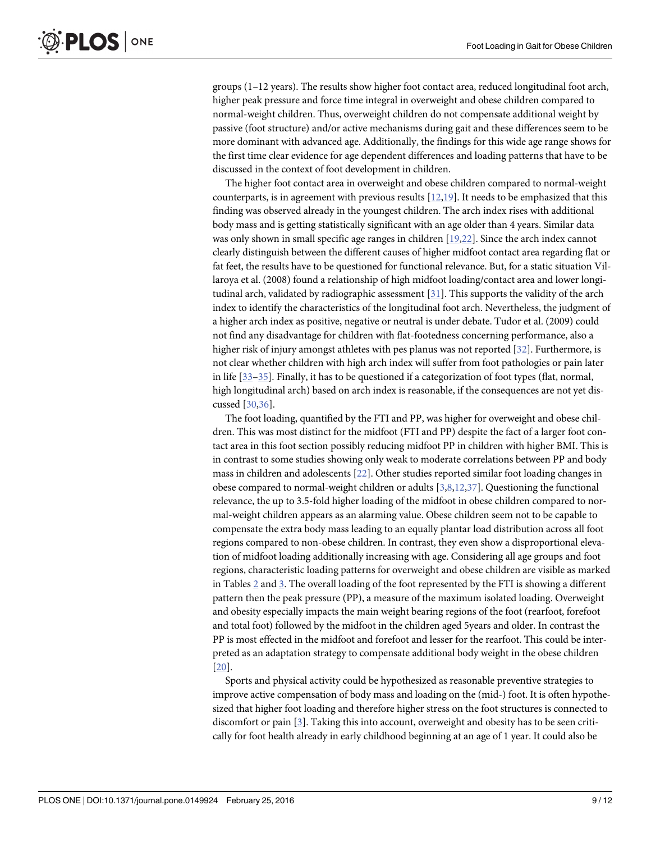groups (1–12 years). The results show higher foot contact area, reduced longitudinal foot arch, higher peak pressure and force time integral in overweight and obese children compared to normal-weight children. Thus, overweight children do not compensate additional weight by passive (foot structure) and/or active mechanisms during gait and these differences seem to be more dominant with advanced age. Additionally, the findings for this wide age range shows for the first time clear evidence for age dependent differences and loading patterns that have to be discussed in the context of foot development in children.

The higher foot contact area in overweight and obese children compared to normal-weight counterparts, is in agreement with previous results  $[12,19]$ . It needs to be emphasized that this finding was observed already in the youngest children. The arch index rises with additional body mass and is getting statistically significant with an age older than 4 years. Similar data was only shown in small specific age ranges in children [19,22]. Since the arch index cannot clearly distinguish between the different causes of higher midfoot contact area regarding flat or fat feet, the results have to be questioned for functional relevance. But, for a static situation Villaroya et al. (2008) found a relationship of high midfoot loading/contact area and lower longitudinal arch, validated by radiographic assessment [31]. This supports the validity of the arch index to identify the characteristics of the longitudinal foot arch. Nevertheless, the judgment of a higher arch index as positive, negative or neutral is under debate. Tudor et al. (2009) could not find any disadvantage for children with flat-footedness concerning performance, also a higher risk of injury amongst athletes with pes planus was not reported [32]. Furthermore, is not clear whether children with high arch index will suffer from foot pathologies or pain later in life [33–35]. Finally, it has to be questioned if a categorization of foot types (flat, normal, high longitudinal arch) based on arch index is reasonable, if the consequences are not yet discussed [30,36].

The foot loading, quantified by the FTI and PP, was higher for overweight and obese children. This was most distinct for the midfoot (FTI and PP) despite the fact of a larger foot contact area in this foot section possibly reducing midfoot PP in children with higher BMI. This is in contrast to some studies showing only weak to moderate correlations between PP and body mass in children and adolescents [22]. Other studies reported similar foot loading changes in obese compared to normal-weight children or adults [3,8,12,37]. Questioning the functional relevance, the up to 3.5-fold higher loading of the midfoot in obese children compared to normal-weight children appears as an alarming value. Obese children seem not to be capable to compensate the extra body mass leading to an equally plantar load distribution across all foot regions compared to non-obese children. In contrast, they even show a disproportional elevation of midfoot loading additionally increasing with age. Considering all age groups and foot regions, characteristic loading patterns for overweight and obese children are visible as marked in Tables  $2$  and  $3$ . The overall loading of the foot represented by the FTI is showing a different pattern then the peak pressure (PP), a measure of the maximum isolated loading. Overweight and obesity especially impacts the main weight bearing regions of the foot (rearfoot, forefoot and total foot) followed by the midfoot in the children aged 5years and older. In contrast the PP is most effected in the midfoot and forefoot and lesser for the rearfoot. This could be interpreted as an adaptation strategy to compensate additional body weight in the obese children [20].

Sports and physical activity could be hypothesized as reasonable preventive strategies to improve active compensation of body mass and loading on the (mid-) foot. It is often hypothesized that higher foot loading and therefore higher stress on the foot structures is connected to discomfort or pain [3]. Taking this into account, overweight and obesity has to be seen critically for foot health already in early childhood beginning at an age of 1 year. It could also be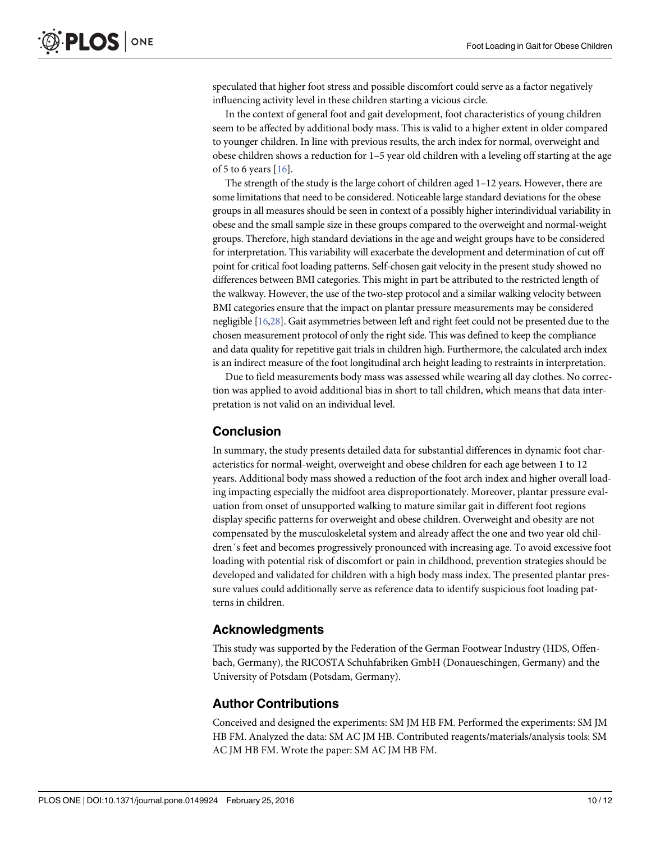speculated that higher foot stress and possible discomfort could serve as a factor negatively influencing activity level in these children starting a vicious circle.

In the context of general foot and gait development, foot characteristics of young children seem to be affected by additional body mass. This is valid to a higher extent in older compared to younger children. In line with previous results, the arch index for normal, overweight and obese children shows a reduction for 1–5 year old children with a leveling off starting at the age of 5 to 6 years [16].

The strength of the study is the large cohort of children aged 1–12 years. However, there are some limitations that need to be considered. Noticeable large standard deviations for the obese groups in all measures should be seen in context of a possibly higher interindividual variability in obese and the small sample size in these groups compared to the overweight and normal-weight groups. Therefore, high standard deviations in the age and weight groups have to be considered for interpretation. This variability will exacerbate the development and determination of cut off point for critical foot loading patterns. Self-chosen gait velocity in the present study showed no differences between BMI categories. This might in part be attributed to the restricted length of the walkway. However, the use of the two-step protocol and a similar walking velocity between BMI categories ensure that the impact on plantar pressure measurements may be considered negligible [16,28]. Gait asymmetries between left and right feet could not be presented due to the chosen measurement protocol of only the right side. This was defined to keep the compliance and data quality for repetitive gait trials in children high. Furthermore, the calculated arch index is an indirect measure of the foot longitudinal arch height leading to restraints in interpretation.

Due to field measurements body mass was assessed while wearing all day clothes. No correction was applied to avoid additional bias in short to tall children, which means that data interpretation is not valid on an individual level.

# Conclusion

In summary, the study presents detailed data for substantial differences in dynamic foot characteristics for normal-weight, overweight and obese children for each age between 1 to 12 years. Additional body mass showed a reduction of the foot arch index and higher overall loading impacting especially the midfoot area disproportionately. Moreover, plantar pressure evaluation from onset of unsupported walking to mature similar gait in different foot regions display specific patterns for overweight and obese children. Overweight and obesity are not compensated by the musculoskeletal system and already affect the one and two year old children´s feet and becomes progressively pronounced with increasing age. To avoid excessive foot loading with potential risk of discomfort or pain in childhood, prevention strategies should be developed and validated for children with a high body mass index. The presented plantar pressure values could additionally serve as reference data to identify suspicious foot loading patterns in children.

#### Acknowledgments

This study was supported by the Federation of the German Footwear Industry (HDS, Offenbach, Germany), the RICOSTA Schuhfabriken GmbH (Donaueschingen, Germany) and the University of Potsdam (Potsdam, Germany).

### Author Contributions

Conceived and designed the experiments: SM JM HB FM. Performed the experiments: SM JM HB FM. Analyzed the data: SM AC JM HB. Contributed reagents/materials/analysis tools: SM AC JM HB FM. Wrote the paper: SM AC JM HB FM.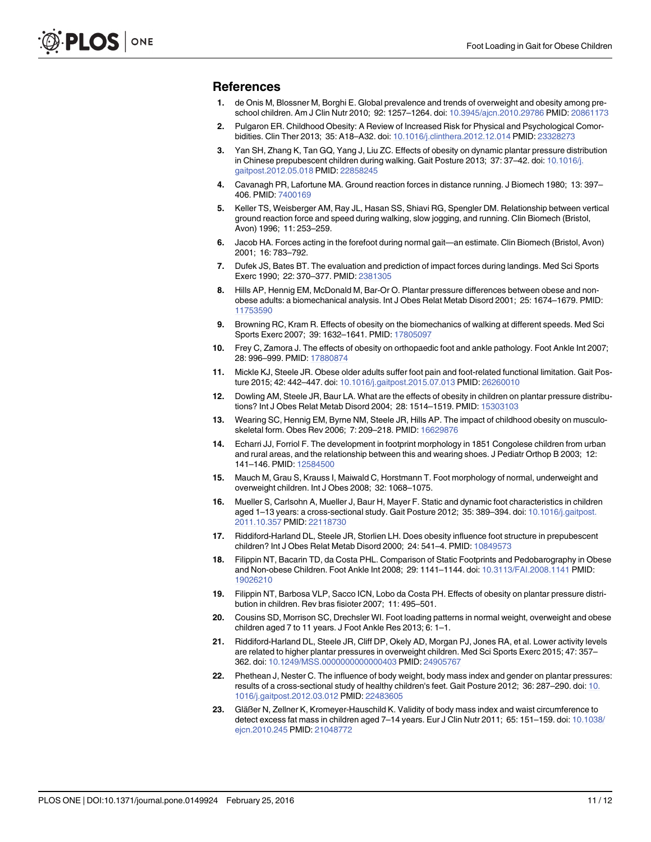#### References

- 1. de Onis M, Blossner M, Borghi E. Global prevalence and trends of overweight and obesity among preschool children. Am J Clin Nutr 2010; 92: 1257–1264. doi: [10.3945/ajcn.2010.29786](http://dx.doi.org/10.3945/ajcn.2010.29786) PMID: [20861173](http://www.ncbi.nlm.nih.gov/pubmed/20861173)
- 2. Pulgaron ER. Childhood Obesity: A Review of Increased Risk for Physical and Psychological Comorbidities. Clin Ther 2013; 35: A18–A32. doi: [10.1016/j.clinthera.2012.12.014](http://dx.doi.org/10.1016/j.clinthera.2012.12.014) PMID: [23328273](http://www.ncbi.nlm.nih.gov/pubmed/23328273)
- 3. Yan SH, Zhang K, Tan GQ, Yang J, Liu ZC. Effects of obesity on dynamic plantar pressure distribution in Chinese prepubescent children during walking. Gait Posture 2013; 37: 37–42. doi: [10.1016/j.](http://dx.doi.org/10.1016/j.gaitpost.2012.05.018) [gaitpost.2012.05.018](http://dx.doi.org/10.1016/j.gaitpost.2012.05.018) PMID: [22858245](http://www.ncbi.nlm.nih.gov/pubmed/22858245)
- 4. Cavanagh PR, Lafortune MA. Ground reaction forces in distance running. J Biomech 1980; 13: 397– 406. PMID: [7400169](http://www.ncbi.nlm.nih.gov/pubmed/7400169)
- 5. Keller TS, Weisberger AM, Ray JL, Hasan SS, Shiavi RG, Spengler DM. Relationship between vertical ground reaction force and speed during walking, slow jogging, and running. Clin Biomech (Bristol, Avon) 1996; 11: 253–259.
- 6. Jacob HA. Forces acting in the forefoot during normal gait—an estimate. Clin Biomech (Bristol, Avon) 2001; 16: 783–792.
- 7. Dufek JS, Bates BT. The evaluation and prediction of impact forces during landings. Med Sci Sports Exerc 1990; 22: 370–377. PMID: [2381305](http://www.ncbi.nlm.nih.gov/pubmed/2381305)
- 8. Hills AP, Hennig EM, McDonald M, Bar-Or O. Plantar pressure differences between obese and nonobese adults: a biomechanical analysis. Int J Obes Relat Metab Disord 2001; 25: 1674–1679. PMID: [11753590](http://www.ncbi.nlm.nih.gov/pubmed/11753590)
- 9. Browning RC, Kram R. Effects of obesity on the biomechanics of walking at different speeds. Med Sci Sports Exerc 2007; 39: 1632-1641. PMID: [17805097](http://www.ncbi.nlm.nih.gov/pubmed/17805097)
- 10. Frey C, Zamora J. The effects of obesity on orthopaedic foot and ankle pathology. Foot Ankle Int 2007; 28: 996–999. PMID: [17880874](http://www.ncbi.nlm.nih.gov/pubmed/17880874)
- 11. Mickle KJ, Steele JR. Obese older adults suffer foot pain and foot-related functional limitation. Gait Posture 2015; 42: 442–447. doi: [10.1016/j.gaitpost.2015.07.013](http://dx.doi.org/10.1016/j.gaitpost.2015.07.013) PMID: [26260010](http://www.ncbi.nlm.nih.gov/pubmed/26260010)
- 12. Dowling AM, Steele JR, Baur LA. What are the effects of obesity in children on plantar pressure distributions? Int J Obes Relat Metab Disord 2004; 28: 1514–1519. PMID: [15303103](http://www.ncbi.nlm.nih.gov/pubmed/15303103)
- 13. Wearing SC, Hennig EM, Byrne NM, Steele JR, Hills AP. The impact of childhood obesity on musculoskeletal form. Obes Rev 2006; 7: 209–218. PMID: [16629876](http://www.ncbi.nlm.nih.gov/pubmed/16629876)
- 14. Echarri JJ, Forriol F. The development in footprint morphology in 1851 Congolese children from urban and rural areas, and the relationship between this and wearing shoes. J Pediatr Orthop B 2003; 12: 141–146. PMID: [12584500](http://www.ncbi.nlm.nih.gov/pubmed/12584500)
- 15. Mauch M, Grau S, Krauss I, Maiwald C, Horstmann T. Foot morphology of normal, underweight and overweight children. Int J Obes 2008; 32: 1068–1075.
- 16. Mueller S, Carlsohn A, Mueller J, Baur H, Mayer F. Static and dynamic foot characteristics in children aged 1–13 years: a cross-sectional study. Gait Posture 2012; 35: 389–394. doi: [10.1016/j.gaitpost.](http://dx.doi.org/10.1016/j.gaitpost.2011.10.357) [2011.10.357](http://dx.doi.org/10.1016/j.gaitpost.2011.10.357) PMID: [22118730](http://www.ncbi.nlm.nih.gov/pubmed/22118730)
- 17. Riddiford-Harland DL, Steele JR, Storlien LH. Does obesity influence foot structure in prepubescent children? Int J Obes Relat Metab Disord 2000; 24: 541–4. PMID: [10849573](http://www.ncbi.nlm.nih.gov/pubmed/10849573)
- 18. Filippin NT, Bacarin TD, da Costa PHL. Comparison of Static Footprints and Pedobarography in Obese and Non-obese Children. Foot Ankle Int 2008; 29: 1141–1144. doi: [10.3113/FAI.2008.1141](http://dx.doi.org/10.3113/FAI.2008.1141) PMID: [19026210](http://www.ncbi.nlm.nih.gov/pubmed/19026210)
- 19. Filippin NT, Barbosa VLP, Sacco ICN, Lobo da Costa PH. Effects of obesity on plantar pressure distribution in children. Rev bras fisioter 2007; 11: 495–501.
- 20. Cousins SD, Morrison SC, Drechsler WI. Foot loading patterns in normal weight, overweight and obese children aged 7 to 11 years. J Foot Ankle Res 2013; 6: 1–1.
- 21. Riddiford-Harland DL, Steele JR, Cliff DP, Okely AD, Morgan PJ, Jones RA, et al. Lower activity levels are related to higher plantar pressures in overweight children. Med Sci Sports Exerc 2015; 47: 357– 362. doi: [10.1249/MSS.0000000000000403](http://dx.doi.org/10.1249/MSS.0000000000000403) PMID: [24905767](http://www.ncbi.nlm.nih.gov/pubmed/24905767)
- 22. Phethean J, Nester C. The influence of body weight, body mass index and gender on plantar pressures: results of a cross-sectional study of healthy children's feet. Gait Posture 2012; 36: 287–290. doi: [10.](http://dx.doi.org/10.1016/j.gaitpost.2012.03.012) [1016/j.gaitpost.2012.03.012](http://dx.doi.org/10.1016/j.gaitpost.2012.03.012) PMID: [22483605](http://www.ncbi.nlm.nih.gov/pubmed/22483605)
- 23. Gläßer N, Zellner K, Kromeyer-Hauschild K. Validity of body mass index and waist circumference to detect excess fat mass in children aged 7–14 years. Eur J Clin Nutr 2011; 65: 151–159. doi: [10.1038/](http://dx.doi.org/10.1038/ejcn.2010.245) [ejcn.2010.245](http://dx.doi.org/10.1038/ejcn.2010.245) PMID: [21048772](http://www.ncbi.nlm.nih.gov/pubmed/21048772)